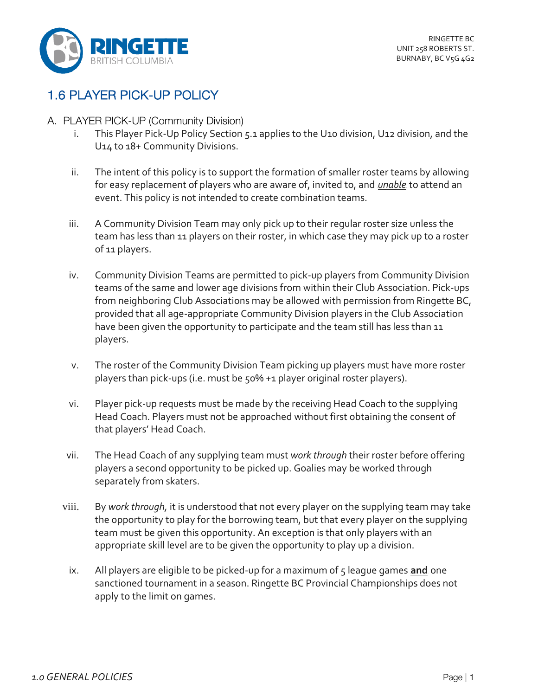

## 1.6 PLAYER PICK-UP POLICY

- A. PLAYER PICK-UP (Community Division)
	- i. This Player Pick-Up Policy Section 5.1 applies to the U10 division, U12 division, and the U14 to 18+ Community Divisions.
	- ii. The intent of this policy is to support the formation of smaller roster teams by allowing for easy replacement of players who are aware of, invited to, and *unable* to attend an event. This policy is not intended to create combination teams.
	- iii. A Community Division Team may only pick up to their regular roster size unless the team has less than 11 players on their roster, in which case they may pick up to a roster of 11 players.
	- iv. Community Division Teams are permitted to pick-up players from Community Division teams of the same and lower age divisions from within their Club Association. Pick-ups from neighboring Club Associations may be allowed with permission from Ringette BC, provided that all age-appropriate Community Division players in the Club Association have been given the opportunity to participate and the team still has less than 11 players.
	- v. The roster of the Community Division Team picking up players must have more roster players than pick-ups (i.e. must be 50% +1 player original roster players).
	- vi. Player pick-up requests must be made by the receiving Head Coach to the supplying Head Coach. Players must not be approached without first obtaining the consent of that players' Head Coach.
	- vii. The Head Coach of any supplying team must *work through* their roster before offering players a second opportunity to be picked up. Goalies may be worked through separately from skaters.
	- viii. By *work through,* it is understood that not every player on the supplying team may take the opportunity to play for the borrowing team, but that every player on the supplying team must be given this opportunity. An exception is that only players with an appropriate skill level are to be given the opportunity to play up a division.
		- ix. All players are eligible to be picked-up for a maximum of 5 league games **and** one sanctioned tournament in a season. Ringette BC Provincial Championships does not apply to the limit on games.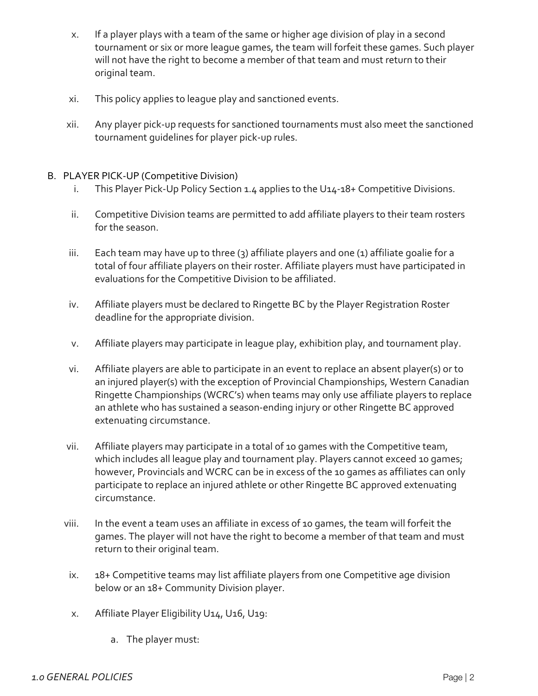- x. If a player plays with a team of the same or higher age division of play in a second tournament or six or more league games, the team will forfeit these games. Such player will not have the right to become a member of that team and must return to their original team.
- xi. This policy applies to league play and sanctioned events.
- xii. Any player pick-up requests for sanctioned tournaments must also meet the sanctioned tournament guidelines for player pick-up rules.

## B. PLAYER PICK-UP (Competitive Division)

- i. This Player Pick-Up Policy Section 1.4 applies to the U14-18+ Competitive Divisions.
- ii. Competitive Division teams are permitted to add affiliate players to their team rosters for the season.
- iii. Each team may have up to three  $(3)$  affiliate players and one  $(1)$  affiliate goalie for a total of four affiliate players on their roster. Affiliate players must have participated in evaluations for the Competitive Division to be affiliated.
- iv. Affiliate players must be declared to Ringette BC by the Player Registration Roster deadline for the appropriate division.
- v. Affiliate players may participate in league play, exhibition play, and tournament play.
- vi. Affiliate players are able to participate in an event to replace an absent player(s) or to an injured player(s) with the exception of Provincial Championships, Western Canadian Ringette Championships (WCRC's) when teams may only use affiliate players to replace an athlete who has sustained a season-ending injury or other Ringette BC approved extenuating circumstance.
- vii. Affiliate players may participate in a total of 10 games with the Competitive team, which includes all league play and tournament play. Players cannot exceed 10 games; however, Provincials and WCRC can be in excess of the 10 games as affiliates can only participate to replace an injured athlete or other Ringette BC approved extenuating circumstance.
- viii. In the event a team uses an affiliate in excess of 10 games, the team will forfeit the games. The player will not have the right to become a member of that team and must return to their original team.
- ix. 18+ Competitive teams may list affiliate players from one Competitive age division below or an 18+ Community Division player.
- x. Affiliate Player Eligibility U14, U16, U19:
	- a. The player must: